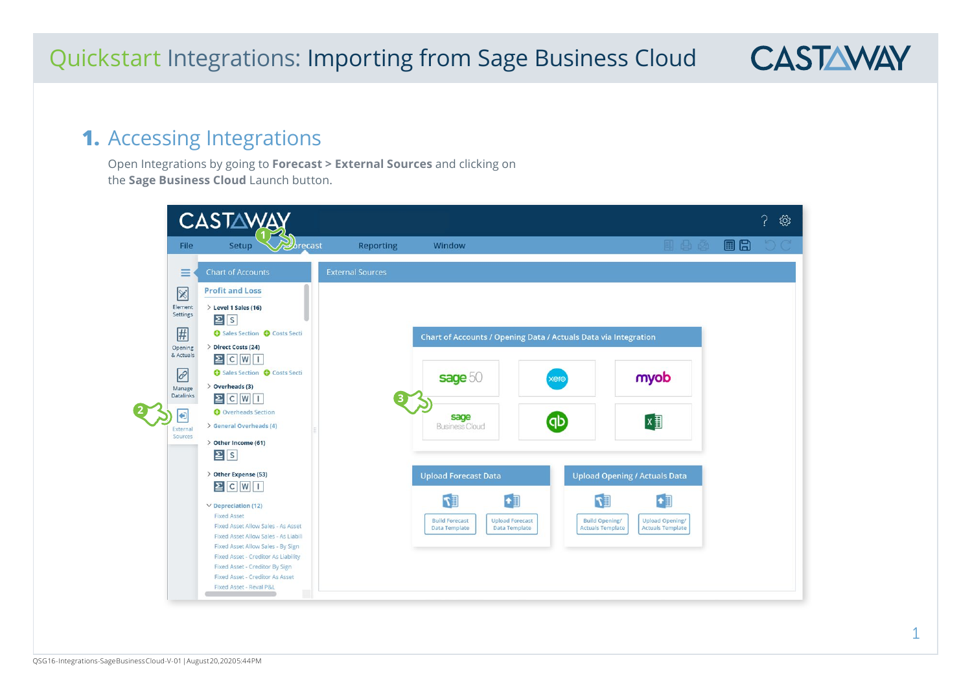#### **1.** Accessing Integrations

Open Integrations by going to **Forecast > External Sources** and clicking on the **Sage Business Cloud** Launch button.

|                                                                                                                                        | <b>CASTAWA</b>                                                                                                                                                                                                                                                                                                                                           |                         |                                                                                                             |                                                |                                                                                                                                                                                        | {ें} |
|----------------------------------------------------------------------------------------------------------------------------------------|----------------------------------------------------------------------------------------------------------------------------------------------------------------------------------------------------------------------------------------------------------------------------------------------------------------------------------------------------------|-------------------------|-------------------------------------------------------------------------------------------------------------|------------------------------------------------|----------------------------------------------------------------------------------------------------------------------------------------------------------------------------------------|------|
| <b>File</b>                                                                                                                            | $\mathcal{D}_\text{fracast}$<br>Setup                                                                                                                                                                                                                                                                                                                    | <b>Reporting</b>        | Window                                                                                                      |                                                | 耳出 2                                                                                                                                                                                   | 目日   |
| ≡                                                                                                                                      | <b>Chart of Accounts</b>                                                                                                                                                                                                                                                                                                                                 | <b>External Sources</b> |                                                                                                             |                                                |                                                                                                                                                                                        |      |
| $\boxtimes$<br>Element<br>Settings<br>#<br>Opening<br>& Actuals<br>$\overline{c^2}$<br>Manage<br>Datalinks<br>€<br>External<br>Sources | <b>Profit and Loss</b><br>> Level 1 Sales (16)<br>$\Sigma$ s<br>Sales Section @ Costs Secti<br>> Direct Costs (24)<br>$\Xi$ C $W$ I<br>Sales Section @ Costs Secti<br>$\geq$ Overheads (3)<br>$\boxed{2}$ C $\boxed{W}$ T<br><b>O</b> Overheads Section<br>> General Overheads (4)<br>> Other Income (61)<br>$\Sigma$ s                                  |                         | Chart of Accounts / Opening Data / Actuals Data via Integration<br>sage 50<br>sage<br><b>Business Cloud</b> | xero<br><b>qb</b>                              | myob<br>$x \equiv$                                                                                                                                                                     |      |
|                                                                                                                                        | > Other Expense (53)<br>$\Xi$ C $W$ I<br>$\vee$ Depreciation (12)<br><b>Fixed Asset</b><br>Fixed Asset Allow Sales - As Asset<br>Fixed Asset Allow Sales - As Liabili<br>Fixed Asset Allow Sales - By Sign<br><b>Fixed Asset - Creditor As Liability</b><br>Fixed Asset - Creditor By Sign<br>Fixed Asset - Creditor As Asset<br>Fixed Asset - Reval P&L |                         | <b>Upload Forecast Data</b><br>$\mathbb{E} \mathcal{T}$<br><b>Build Forecast</b><br><b>Data Template</b>    | <b>Upload Forecast</b><br><b>Data Template</b> | <b>Upload Opening / Actuals Data</b><br>$\mathbb{E} \mathcal{T}$<br>$\bullet$<br><b>Build Opening/</b><br><b>Upload Opening/</b><br><b>Actuals Template</b><br><b>Actuals Template</b> |      |

ſ

**CASTAWAY**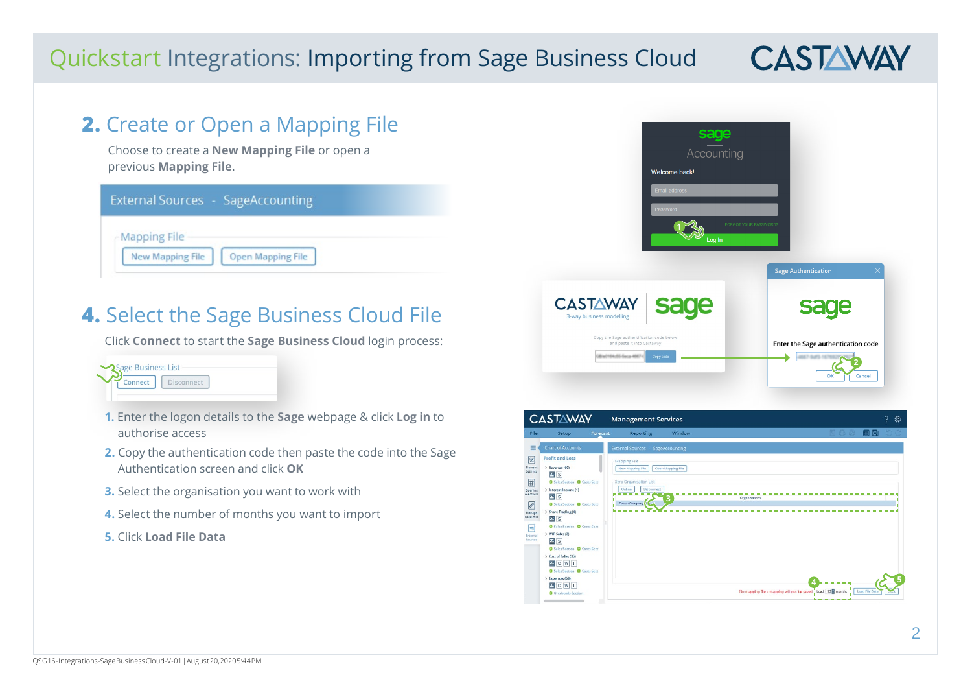# **CASTAWAY**

#### **2.** Create or Open a Mapping File Choose to create a **New Mapping File** or open a previous **Mapping File**. **External Sources - SageAccounting Mapping File New Mapping File Open Mapping File**

### **4.** Select the Sage Business Cloud File

Click **Connect** to start the **Sage Business Cloud** login process:



- **1.** Enter the logon details to the **Sage** webpage & click **Log in** to authorise access
- **2.** Copy the authentication code then paste the code into the Sage Authentication screen and click **OK**
- **3.** Select the organisation you want to work with
- **4.** Select the number of months you want to import
- **5.** Click **Load File Data**



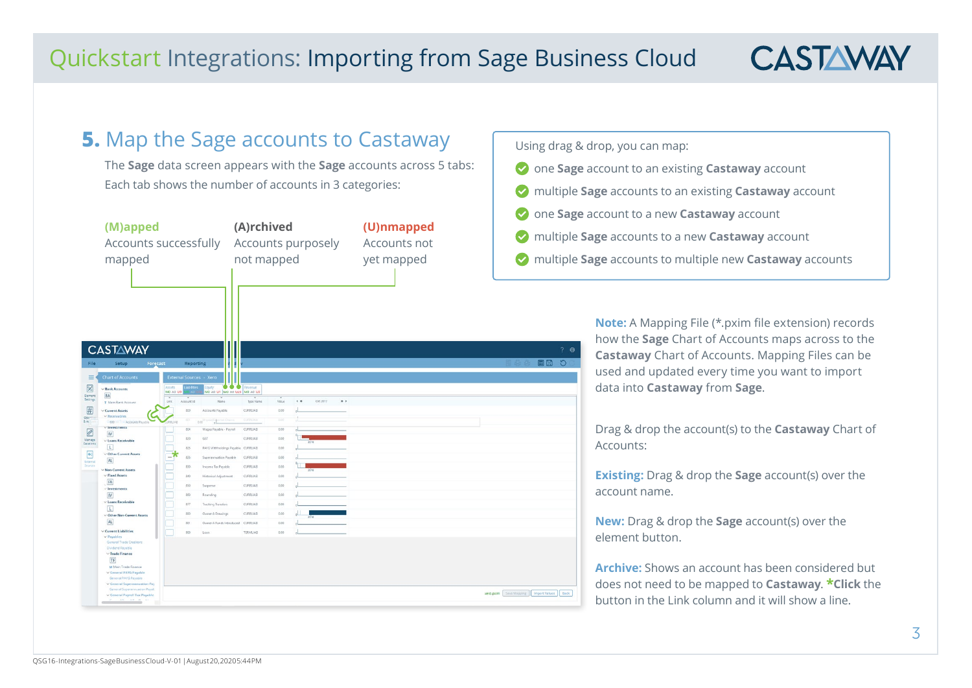## **CASTAWAY**

#### **5.** Map the Sage accounts to Castaway

The **Sage** data screen appears with the **Sage** accounts across 5 tabs: Each tab shows the number of accounts in 3 categories:

| (M)apped<br>mapped                               |                                                                                                                                                                                                        | Accounts successfully                 |                                                                     | (A)rchived<br>Accounts purposely<br>not mapped |              |                  | (U)nmapped<br>Accounts not<br>yet mapped |  | <b>O</b> one <b>Sage</b> acc<br>multiple Sage<br>multiple Sage |         |
|--------------------------------------------------|--------------------------------------------------------------------------------------------------------------------------------------------------------------------------------------------------------|---------------------------------------|---------------------------------------------------------------------|------------------------------------------------|--------------|------------------|------------------------------------------|--|----------------------------------------------------------------|---------|
|                                                  | <b>CASTAWAY</b>                                                                                                                                                                                        |                                       |                                                                     |                                                |              |                  |                                          |  |                                                                | $?$ $@$ |
| File<br>$\equiv$                                 | Forecast<br>Setup<br><b>Chart of Accounts</b>                                                                                                                                                          | <b>External Sources - Xero</b>        | Reporting                                                           |                                                |              |                  |                                          |  | 国間 り<br>Ell Act ON                                             |         |
| $\boxtimes$<br><b>Element</b>                    | $\vee$ Bank Accounts<br>BA                                                                                                                                                                             | Assets.<br>M0 A0 U9                   | $\bullet\bullet\bullet$<br>tuitv<br>MO AO U1   MO AO U28   MO AO U3 | Revenue                                        |              |                  |                                          |  |                                                                |         |
| Settings                                         | T Main Bank Account                                                                                                                                                                                    | $\overline{ }$<br>Account ld<br>Link: | Name                                                                | Type Name                                      | Value        | Oct 2017<br>4.41 | $\qquad \rightarrow$                     |  |                                                                |         |
| $\left  \underline{\textbf{\#}} \right $<br>Open | V Current Assets<br>v Receivables                                                                                                                                                                      | 800                                   | Accounts Payable                                                    | CURRLIAB                                       | 0.00         |                  |                                          |  |                                                                |         |
| 8.46                                             | 800 Ini Transaccounts Payab<br>$\vee$ Investments                                                                                                                                                      | <b>JEELIAR</b>                        | 날이<br>n no                                                          | <b>CURRESAS</b>                                | (1,0)        |                  |                                          |  |                                                                |         |
| $\mathscr{D}$                                    | $\mathsf{IV}$                                                                                                                                                                                          | 804                                   | Wages Payable - Payroll                                             | CURRLIAB                                       | 0.00         |                  |                                          |  |                                                                |         |
| Manage<br><b>Datalinks</b>                       | $\vee$ Loans Receivable<br>$\overline{L}$                                                                                                                                                              | 820                                   | GST                                                                 | CURRLIAS                                       | 0.00         |                  |                                          |  |                                                                |         |
| $\bigoplus$                                      | Other Current Assets                                                                                                                                                                                   | 825<br>-7                             | PAYG Withholdings Payable CURRLIAB                                  |                                                | 0.00         |                  |                                          |  |                                                                |         |
| External<br>Sources                              | AL.                                                                                                                                                                                                    | 826                                   | Superannuation Payable                                              | CURRLIAB                                       | 0.00<br>0.00 |                  |                                          |  |                                                                |         |
|                                                  | V Non-Current Assets<br>$\vee$ Fixed Assets                                                                                                                                                            | 830<br>840                            | Income Tax Payable<br><b>Historical Adjustment</b>                  | CURRLIAS<br>CURRLIAD                           | 0.00         |                  |                                          |  |                                                                |         |
|                                                  | FA                                                                                                                                                                                                     | 850                                   | Suspense                                                            | CURRILLAR                                      | 0.00         |                  |                                          |  |                                                                |         |
|                                                  | $\vee$ Investments<br>$\Gamma\!V$                                                                                                                                                                      | 860                                   | Rounding                                                            | CURRLIAB                                       | 0.00         |                  |                                          |  |                                                                |         |
|                                                  | $\vee$ Loans Receivable                                                                                                                                                                                | 877                                   | <b>Tracking Transfers</b>                                           | CURRILAR                                       | 0.00         |                  |                                          |  |                                                                |         |
|                                                  | $\Box$<br>v Other Non-Current Assets                                                                                                                                                                   | 880                                   | Owner A Drawings                                                    | <b>CURRITAR</b>                                | 0.00         |                  |                                          |  |                                                                |         |
|                                                  | AL                                                                                                                                                                                                     | 881                                   | Owner A Funds Introduced CURRLIAB                                   |                                                | 0.00         |                  |                                          |  |                                                                |         |
|                                                  | $\vee$ Current Liabilities                                                                                                                                                                             | 900                                   | Loan                                                                | <b>TERMEIAB</b>                                | 0.00         |                  |                                          |  |                                                                |         |
|                                                  | $\vee$ Payables<br>General Trade Creditors<br>Dividend Payable<br>$\vee$ Trade Finance<br>TF<br>M Main Trade Finance<br>V General PAYG Payable<br>General PAYG Payable<br>V General Superannuation Pay |                                       |                                                                     |                                                |              |                  |                                          |  |                                                                |         |
|                                                  | General Superannuation Payab                                                                                                                                                                           |                                       |                                                                     |                                                |              |                  |                                          |  | xero.pxim Save Mapping   Import Values   Back                  |         |

Using drag & drop, you can map:

- one **Sage** account to an existing **Castaway** account
- multiple **Sage** accounts to an existing **Castaway** account
- count to a new **Castaway** account
- **e** accounts to a new **Castaway** account
- **e** accounts to multiple new **Castaway** accounts

**Note:** A Mapping File (\*.pxim file extension) records how the **Sage** Chart of Accounts maps across to the **Castaway** Chart of Accounts. Mapping Files can be used and updated every time you want to import data into **Castaway** from **Sage**.

Drag & drop the account(s) to the **Castaway** Chart of ccounts:

**Existing:** Drag & drop the **Sage** account(s) over the ccount name.

**New:** Drag & drop the **Sage** account(s) over the lement button.

**rchive:** Shows an account has been considered but does not need to be mapped to **Castaway**. **\*Click** the button in the Link column and it will show a line.